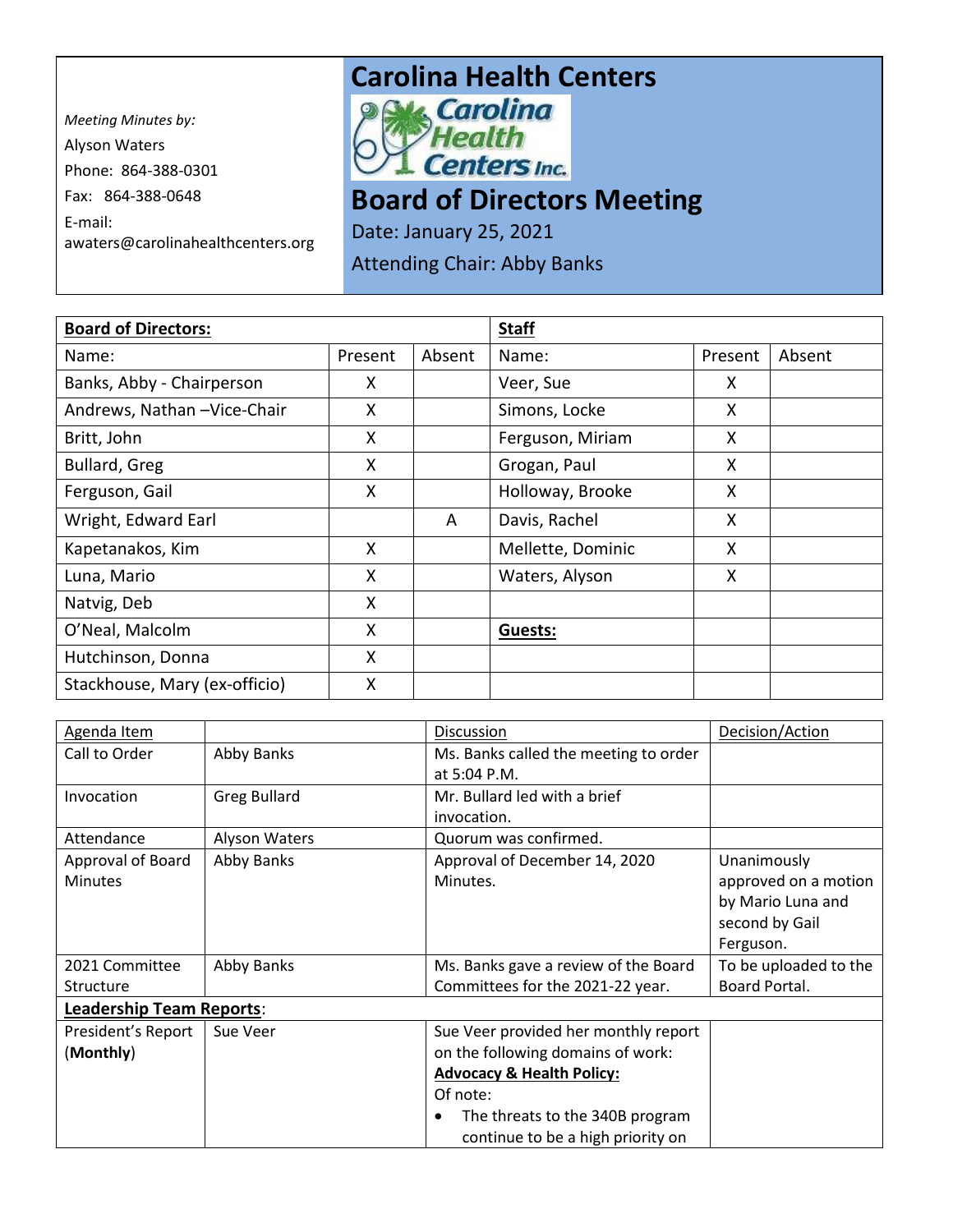*Meeting Minutes by:*  Alyson Waters Phone: 864-388-0301 Fax: 864-388-0648 E-mail: awaters@carolinahealthcenters.org

## **Carolina Health Centers**<br>**Paks Carolina**



## **Board of Directors Meeting**

Date: January 25, 2021

Attending Chair: Abby Banks

| <b>Board of Directors:</b>    |         |        | <b>Staff</b>      |         |        |
|-------------------------------|---------|--------|-------------------|---------|--------|
| Name:                         | Present | Absent | Name:             | Present | Absent |
| Banks, Abby - Chairperson     | X       |        | Veer, Sue         | X       |        |
| Andrews, Nathan - Vice-Chair  | X       |        | Simons, Locke     | X       |        |
| Britt, John                   | X       |        | Ferguson, Miriam  | X       |        |
| Bullard, Greg                 | X       |        | Grogan, Paul      | X       |        |
| Ferguson, Gail                | X       |        | Holloway, Brooke  | X       |        |
| Wright, Edward Earl           |         | A      | Davis, Rachel     | X       |        |
| Kapetanakos, Kim              | X       |        | Mellette, Dominic | X       |        |
| Luna, Mario                   | X       |        | Waters, Alyson    | X       |        |
| Natvig, Deb                   | X       |        |                   |         |        |
| O'Neal, Malcolm               | X       |        | Guests:           |         |        |
| Hutchinson, Donna             | X       |        |                   |         |        |
| Stackhouse, Mary (ex-officio) | Χ       |        |                   |         |        |

| Agenda Item                     |                      | Discussion                                   | Decision/Action       |  |
|---------------------------------|----------------------|----------------------------------------------|-----------------------|--|
| Call to Order                   | Abby Banks           | Ms. Banks called the meeting to order        |                       |  |
|                                 |                      | at 5:04 P.M.                                 |                       |  |
| Invocation                      | <b>Greg Bullard</b>  | Mr. Bullard led with a brief                 |                       |  |
|                                 |                      | invocation.                                  |                       |  |
| Attendance                      | <b>Alyson Waters</b> | Quorum was confirmed.                        |                       |  |
| Approval of Board               | Abby Banks           | Approval of December 14, 2020                | Unanimously           |  |
| <b>Minutes</b>                  |                      | Minutes.                                     | approved on a motion  |  |
|                                 |                      |                                              | by Mario Luna and     |  |
|                                 |                      |                                              | second by Gail        |  |
|                                 |                      |                                              | Ferguson.             |  |
| 2021 Committee                  | Abby Banks           | Ms. Banks gave a review of the Board         | To be uploaded to the |  |
| Structure                       |                      | Committees for the 2021-22 year.             | Board Portal.         |  |
| <b>Leadership Team Reports:</b> |                      |                                              |                       |  |
| President's Report              | Sue Veer             | Sue Veer provided her monthly report         |                       |  |
| (Monthly)                       |                      | on the following domains of work:            |                       |  |
|                                 |                      | <b>Advocacy &amp; Health Policy:</b>         |                       |  |
|                                 |                      | Of note:                                     |                       |  |
|                                 |                      | The threats to the 340B program<br>$\bullet$ |                       |  |
|                                 |                      | continue to be a high priority on            |                       |  |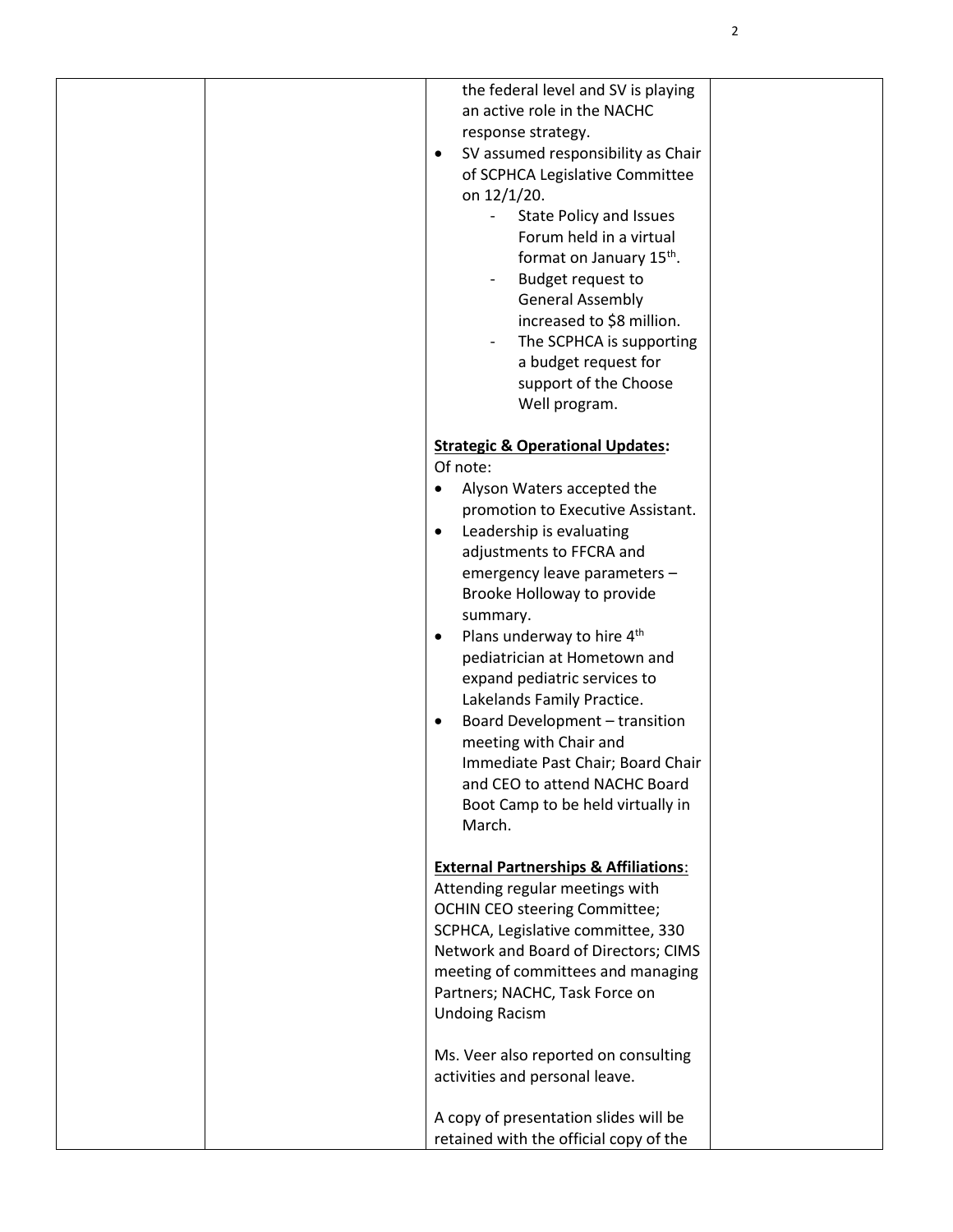| the federal level and SV is playing                        |  |
|------------------------------------------------------------|--|
| an active role in the NACHC                                |  |
| response strategy.                                         |  |
| SV assumed responsibility as Chair<br>$\bullet$            |  |
|                                                            |  |
| of SCPHCA Legislative Committee                            |  |
| on 12/1/20.                                                |  |
| <b>State Policy and Issues</b><br>$\overline{\phantom{a}}$ |  |
| Forum held in a virtual                                    |  |
| format on January 15 <sup>th</sup> .                       |  |
| Budget request to<br>$\overline{\phantom{a}}$              |  |
|                                                            |  |
| <b>General Assembly</b>                                    |  |
| increased to \$8 million.                                  |  |
| The SCPHCA is supporting                                   |  |
| a budget request for                                       |  |
| support of the Choose                                      |  |
| Well program.                                              |  |
|                                                            |  |
|                                                            |  |
| <b>Strategic &amp; Operational Updates:</b>                |  |
| Of note:                                                   |  |
| Alyson Waters accepted the<br>$\bullet$                    |  |
| promotion to Executive Assistant.                          |  |
| Leadership is evaluating<br>$\bullet$                      |  |
| adjustments to FFCRA and                                   |  |
|                                                            |  |
| emergency leave parameters -                               |  |
| Brooke Holloway to provide                                 |  |
| summary.                                                   |  |
| Plans underway to hire 4 <sup>th</sup><br>$\bullet$        |  |
| pediatrician at Hometown and                               |  |
| expand pediatric services to                               |  |
| Lakelands Family Practice.                                 |  |
|                                                            |  |
| Board Development - transition<br>$\bullet$                |  |
| meeting with Chair and                                     |  |
| Immediate Past Chair; Board Chair                          |  |
| and CEO to attend NACHC Board                              |  |
| Boot Camp to be held virtually in                          |  |
| March.                                                     |  |
|                                                            |  |
|                                                            |  |
| <b>External Partnerships &amp; Affiliations:</b>           |  |
| Attending regular meetings with                            |  |
| <b>OCHIN CEO steering Committee;</b>                       |  |
| SCPHCA, Legislative committee, 330                         |  |
| Network and Board of Directors; CIMS                       |  |
| meeting of committees and managing                         |  |
| Partners; NACHC, Task Force on                             |  |
| <b>Undoing Racism</b>                                      |  |
|                                                            |  |
|                                                            |  |
| Ms. Veer also reported on consulting                       |  |
| activities and personal leave.                             |  |
|                                                            |  |
| A copy of presentation slides will be                      |  |
| retained with the official copy of the                     |  |
|                                                            |  |

2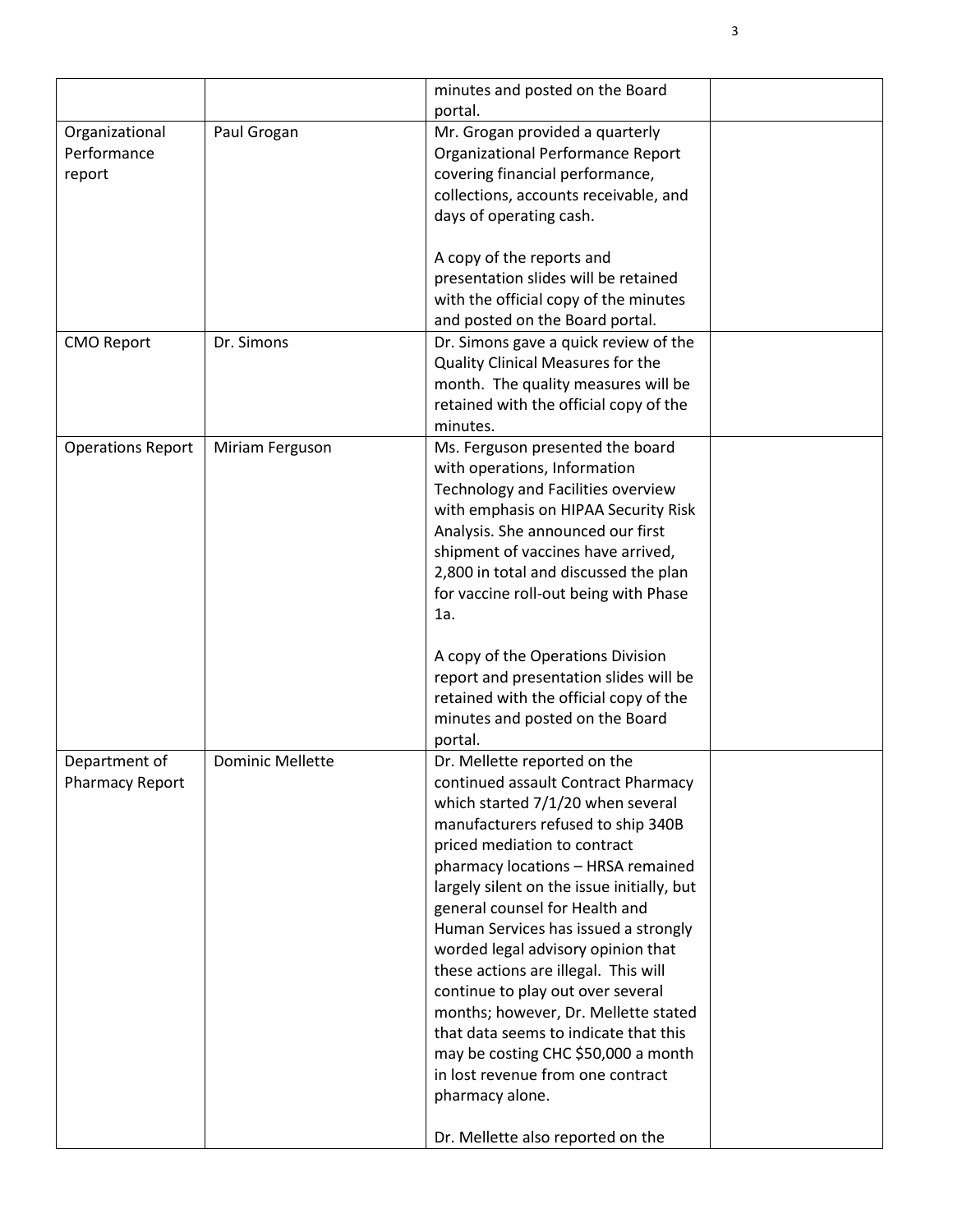|                                         |                         | minutes and posted on the Board<br>portal.                                                                                                                                                                                                                                                                                                                                                                                                                                                                                                                                                                                                      |  |
|-----------------------------------------|-------------------------|-------------------------------------------------------------------------------------------------------------------------------------------------------------------------------------------------------------------------------------------------------------------------------------------------------------------------------------------------------------------------------------------------------------------------------------------------------------------------------------------------------------------------------------------------------------------------------------------------------------------------------------------------|--|
| Organizational<br>Performance<br>report | Paul Grogan             | Mr. Grogan provided a quarterly<br>Organizational Performance Report<br>covering financial performance,<br>collections, accounts receivable, and<br>days of operating cash.<br>A copy of the reports and<br>presentation slides will be retained                                                                                                                                                                                                                                                                                                                                                                                                |  |
|                                         |                         | with the official copy of the minutes<br>and posted on the Board portal.                                                                                                                                                                                                                                                                                                                                                                                                                                                                                                                                                                        |  |
| <b>CMO Report</b>                       | Dr. Simons              | Dr. Simons gave a quick review of the<br>Quality Clinical Measures for the<br>month. The quality measures will be<br>retained with the official copy of the<br>minutes.                                                                                                                                                                                                                                                                                                                                                                                                                                                                         |  |
| <b>Operations Report</b>                | Miriam Ferguson         | Ms. Ferguson presented the board<br>with operations, Information<br>Technology and Facilities overview<br>with emphasis on HIPAA Security Risk<br>Analysis. She announced our first<br>shipment of vaccines have arrived,<br>2,800 in total and discussed the plan<br>for vaccine roll-out being with Phase<br>1a.<br>A copy of the Operations Division                                                                                                                                                                                                                                                                                         |  |
|                                         |                         | report and presentation slides will be<br>retained with the official copy of the<br>minutes and posted on the Board<br>portal.                                                                                                                                                                                                                                                                                                                                                                                                                                                                                                                  |  |
| Department of<br><b>Pharmacy Report</b> | <b>Dominic Mellette</b> | Dr. Mellette reported on the<br>continued assault Contract Pharmacy<br>which started 7/1/20 when several<br>manufacturers refused to ship 340B<br>priced mediation to contract<br>pharmacy locations - HRSA remained<br>largely silent on the issue initially, but<br>general counsel for Health and<br>Human Services has issued a strongly<br>worded legal advisory opinion that<br>these actions are illegal. This will<br>continue to play out over several<br>months; however, Dr. Mellette stated<br>that data seems to indicate that this<br>may be costing CHC \$50,000 a month<br>in lost revenue from one contract<br>pharmacy alone. |  |
|                                         |                         | Dr. Mellette also reported on the                                                                                                                                                                                                                                                                                                                                                                                                                                                                                                                                                                                                               |  |

3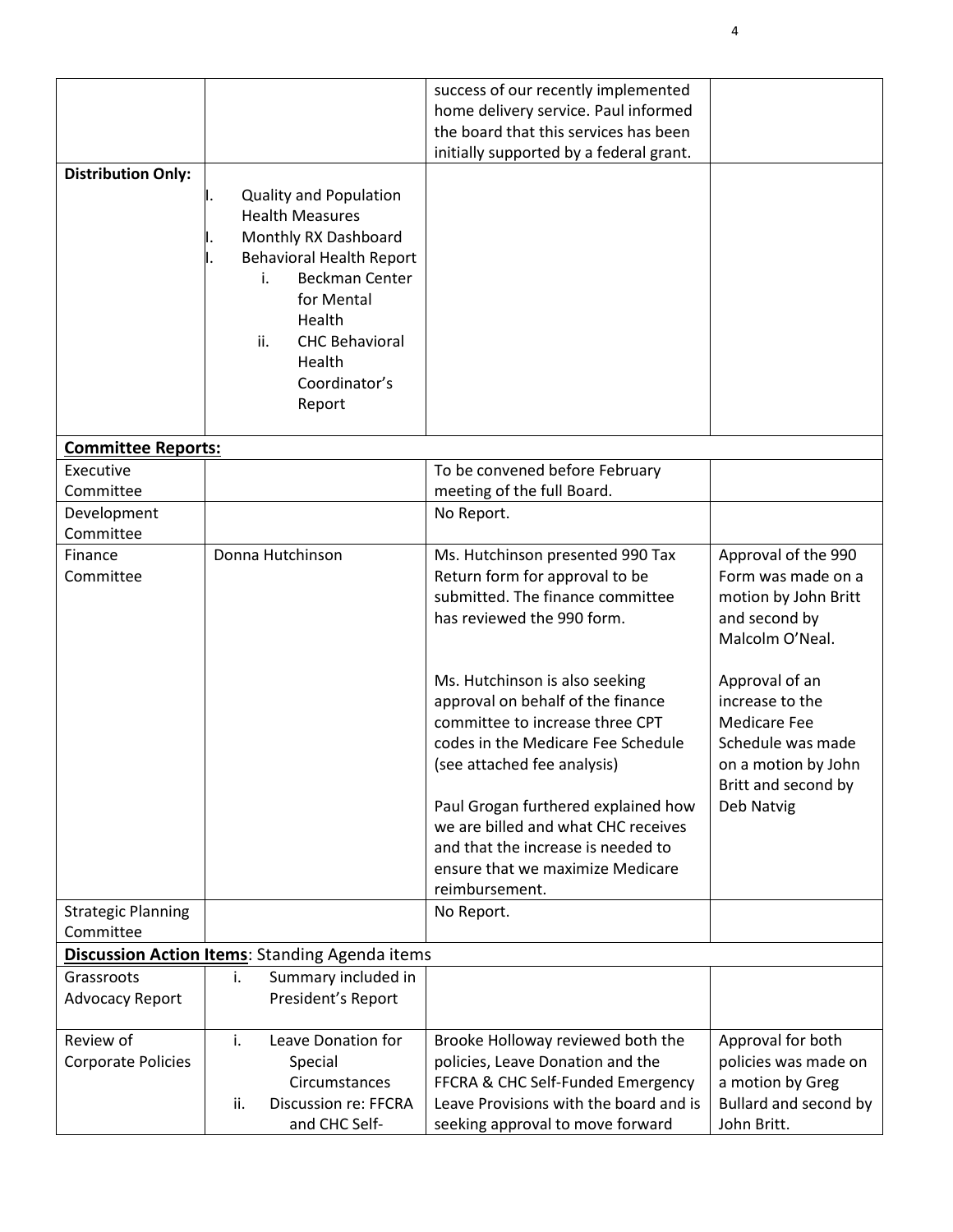|                           |                                                       | success of our recently implemented                                           |                                        |
|---------------------------|-------------------------------------------------------|-------------------------------------------------------------------------------|----------------------------------------|
|                           |                                                       | home delivery service. Paul informed<br>the board that this services has been |                                        |
|                           |                                                       | initially supported by a federal grant.                                       |                                        |
| <b>Distribution Only:</b> |                                                       |                                                                               |                                        |
|                           | <b>Quality and Population</b>                         |                                                                               |                                        |
|                           | <b>Health Measures</b>                                |                                                                               |                                        |
|                           | Monthly RX Dashboard                                  |                                                                               |                                        |
|                           | <b>Behavioral Health Report</b>                       |                                                                               |                                        |
|                           | <b>Beckman Center</b><br>i.                           |                                                                               |                                        |
|                           | for Mental                                            |                                                                               |                                        |
|                           | Health                                                |                                                                               |                                        |
|                           | ii.<br><b>CHC Behavioral</b>                          |                                                                               |                                        |
|                           | Health                                                |                                                                               |                                        |
|                           | Coordinator's                                         |                                                                               |                                        |
|                           | Report                                                |                                                                               |                                        |
| <b>Committee Reports:</b> |                                                       |                                                                               |                                        |
| Executive                 |                                                       | To be convened before February                                                |                                        |
| Committee                 |                                                       | meeting of the full Board.                                                    |                                        |
| Development               |                                                       | No Report.                                                                    |                                        |
| Committee                 |                                                       |                                                                               |                                        |
| Finance                   | Donna Hutchinson                                      | Ms. Hutchinson presented 990 Tax                                              | Approval of the 990                    |
| Committee                 |                                                       | Return form for approval to be                                                | Form was made on a                     |
|                           |                                                       | submitted. The finance committee                                              | motion by John Britt                   |
|                           |                                                       | has reviewed the 990 form.                                                    | and second by                          |
|                           |                                                       |                                                                               | Malcolm O'Neal.                        |
|                           |                                                       |                                                                               |                                        |
|                           |                                                       | Ms. Hutchinson is also seeking                                                | Approval of an                         |
|                           |                                                       | approval on behalf of the finance<br>committee to increase three CPT          | increase to the<br><b>Medicare Fee</b> |
|                           |                                                       | codes in the Medicare Fee Schedule                                            | Schedule was made                      |
|                           |                                                       | (see attached fee analysis)                                                   | on a motion by John                    |
|                           |                                                       |                                                                               | Britt and second by                    |
|                           |                                                       | Paul Grogan furthered explained how                                           | Deb Natvig                             |
|                           |                                                       | we are billed and what CHC receives                                           |                                        |
|                           |                                                       | and that the increase is needed to                                            |                                        |
|                           |                                                       | ensure that we maximize Medicare                                              |                                        |
|                           |                                                       | reimbursement.                                                                |                                        |
| <b>Strategic Planning</b> |                                                       | No Report.                                                                    |                                        |
| Committee                 |                                                       |                                                                               |                                        |
|                           | <b>Discussion Action Items: Standing Agenda items</b> |                                                                               |                                        |
| Grassroots                | i.<br>Summary included in                             |                                                                               |                                        |
| <b>Advocacy Report</b>    | President's Report                                    |                                                                               |                                        |
| Review of                 | i.<br>Leave Donation for                              | Brooke Holloway reviewed both the                                             | Approval for both                      |
| Corporate Policies        | Special                                               | policies, Leave Donation and the                                              | policies was made on                   |
|                           | Circumstances                                         | FFCRA & CHC Self-Funded Emergency                                             | a motion by Greg                       |
|                           | <b>Discussion re: FFCRA</b><br>ii.                    | Leave Provisions with the board and is                                        | Bullard and second by                  |
|                           | and CHC Self-                                         | seeking approval to move forward                                              | John Britt.                            |

4